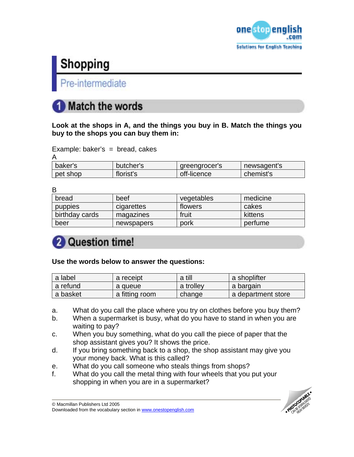

# Shopping

Pre-intermediate

## **Match the words**

**Look at the shops in A, and the things you buy in B. Match the things you buy to the shops you can buy them in:** 

| Example: baker's = bread, cakes |  |  |
|---------------------------------|--|--|
| Δ                               |  |  |

| baker's  | butcher's | greengrocer's | newsagent's |
|----------|-----------|---------------|-------------|
| pet shop | florist's | off-licence   | chemist's   |

| bread          | beef       | vegetables | medicine |
|----------------|------------|------------|----------|
| <b>pupples</b> | cigarettes | flowers    | cakes    |
| birthday cards | magazines  | fruit      | kittens  |
| beer           | newspapers | pork       | perfume  |

## 2 Question time!

### **Use the words below to answer the questions:**

| a label    | a receipt      | a till    | a shoplifter       |
|------------|----------------|-----------|--------------------|
| l a refund | a queue        | a trolley | a bargain          |
| a basket   | a fitting room | change    | a department store |

- a. What do you call the place where you try on clothes before you buy them?
- b. When a supermarket is busy, what do you have to stand in when you are waiting to pay?
- c. When you buy something, what do you call the piece of paper that the shop assistant gives you? It shows the price.
- d. If you bring something back to a shop, the shop assistant may give you your money back. What is this called?
- e. What do you call someone who steals things from shops?
- f. What do you call the metal thing with four wheels that you put your shopping in when you are in a supermarket?

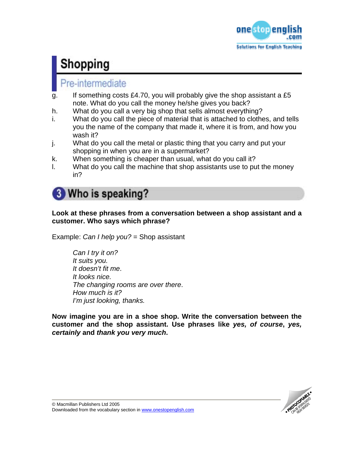

# Shopping

### Pre-intermediate

- g. If something costs £4.70, you will probably give the shop assistant a £5 note. What do you call the money he/she gives you back?
- h. What do you call a very big shop that sells almost everything?
- i. What do you call the piece of material that is attached to clothes, and tells you the name of the company that made it, where it is from, and how you wash it?
- j. What do you call the metal or plastic thing that you carry and put your shopping in when you are in a supermarket?
- k. When something is cheaper than usual, what do you call it?
- l. What do you call the machine that shop assistants use to put the money in?

## **3** Who is speaking?

### **Look at these phrases from a conversation between a shop assistant and a customer. Who says which phrase?**

Example: *Can I help you?* = Shop assistant

*Can I try it on? It suits you. It doesn't fit me*. *It looks nice. The changing rooms are over there*. *How much is it? I'm just looking, thanks.* 

**Now imagine you are in a shoe shop. Write the conversation between the customer and the shop assistant. Use phrases like** *yes, of course***,** *yes, certainly* **and** *thank you very much***.** 

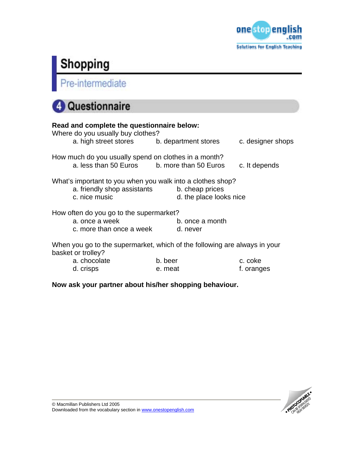

# **Shopping**<br>Pre-intermediate

## 4 Questionnaire

| Read and complete the questionnaire below:<br>Where do you usually buy clothes?                                            |                         |                   |
|----------------------------------------------------------------------------------------------------------------------------|-------------------------|-------------------|
| a. high street stores b. department stores                                                                                 |                         | c. designer shops |
| How much do you usually spend on clothes in a month?<br>a. less than 50 Euros b. more than 50 Euros                        |                         | c. It depends     |
| What's important to you when you walk into a clothes shop?<br>a. friendly shop assistants b. cheap prices<br>c. nice music | d. the place looks nice |                   |
| How often do you go to the supermarket?<br>a. once a week<br>c. more than once a week d. never                             | b. once a month         |                   |
| When you go to the supermarket, which of the following are always in your<br>basket or trolley?                            |                         |                   |

a. chocolate b. beer c. coke d. crisps e. meat f. oranges

**Now ask your partner about his/her shopping behaviour.**